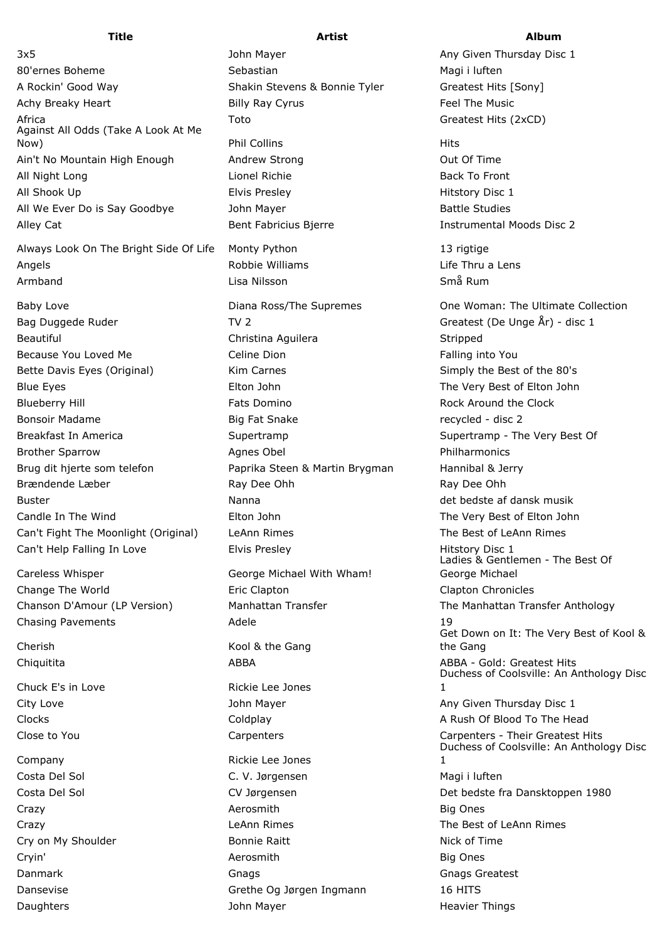80'ernes Boheme Sebastian Sebastian Magi i luften A Rockin' Good Way **Shakin Stevens & Bonnie Tyler** Greatest Hits [Sony] Achy Breaky Heart **East Exercise State Billy Ray Cyrus** Feel The Music Africa **Toto** Greatest Hits (2xCD) **COVID-19** Toto Against All Odds (Take A Look At Me Now) and the collins the Phil Collins and the Collins of the Hits Hits Ain't No Mountain High Enough Andrew Strong Theory Control Out Of Time All Night Long **Lionel Richie Back To Front** Lionel Richie Back To Front All Shook Up **Elvis Presley** Elvis Presley **All Shook Up** All We Ever Do is Say Goodbye and John Mayer and Battle Studies Battle Studies Alley Cat **Bent Fabricius Bierre Instrumental Moods Disc 2** and Bierre *Instrumental Moods Disc 2* 

Always Look On The Bright Side Of Life Monty Python 13 rigtige Angels Robbie Williams Life Thru a Lens Armband Lisa Nilsson Små Rum

- Bag Duggede Ruder TV 2 TV 2 Greatest (De Unge År) disc 1 Beautiful **Christina Aguilera** Christina Aguilera Christina Aguilera Stripped Because You Loved Me **Example 2** Celine Dion Falling into You Loved Me **Celine Dion** Bette Davis Eyes (Original) Kim Carnes Simply the Best of the 80's Blue Eyes Elton John The Very Best of Elton John Blueberry Hill **Fats Domino** Fats Domino Rock Around the Clock Bonsoir Madame and the Snake Richards Consoling Home and the Snake recycled - disc 2 Breakfast In America The Supertramp Supertramp Supertramp Supertramp - The Very Best Of Brother Sparrow **Agnes Obel Philharmonics** Agnes Obel **Philharmonics** Brug dit hjerte som telefon **Paprika Steen & Martin Brygman** Hannibal & Jerry Brændende Læber **Ray Dee Ohh** Ray Dee Ohh Ray Dee Ohh Buster Nanna Manna det bedste af dansk musik Candle In The Wind **Elton John** Elton John The Very Best of Elton John Can't Fight The Moonlight (Original) LeAnn Rimes The Best of LeAnn Rimes Can't Help Falling In Love **Elvis Presley Cantabris 1** Hitstory Disc 1
- Careless Whisper George Michael With Wham! Change The World Eric Clapton Clapton Chronicles Chasing Pavements **Adele** 19

Cherish Kool & the Gang

Chuck E's in Love **Rickie Lee Jones** 

Company **Company Rickie Lee Jones** 

3x5 John Mayer Any Given Thursday Disc 1

Costa Del Sol C. V. Jørgensen Magi i luften Crazy **Big Ones Aerosmith** Aerosmith Big Ones Cry on My Shoulder **Bonnie Raitt** Nick of Time Cryin' Aerosmith Big Ones Danmark Gnags Gnags Greatest Dansevise Grethe Og Jørgen Ingmann 16 HITS Daughters **State Act and State Act and State Act and State Act and State Act and State Act and State Act and State Act and State Act and State Act and State Act and State Act and State Act and State Act and State Act and S** 

## **Title Artist Album**

Baby Love **Diana Ross/The Supremes** One Woman: The Ultimate Collection Ladies & Gentlemen - The Best Of George Michael Chanson D'Amour (LP Version) Manhattan Transfer The Manhattan Transfer Anthology Get Down on It: The Very Best of Kool & the Gang Chiquitita **ABBA ABBA ABBA ABBA ABBA** ABBA - Gold: Greatest Hits Duchess of Coolsville: An Anthology Disc 1 City Love **City Love City Love City Love Any Given Thursday Disc 1** Clocks Coldplay A Rush Of Blood To The Head Close to You Carpenters Carpenters - Their Greatest Hits Duchess of Coolsville: An Anthology Disc 1 Costa Del Sol CV Jørgensen CV Jørgensen Det bedste fra Dansktoppen 1980 Crazy **Crazy** Crazy **Crazy** Crazy **The Best of LeAnn Rimes** Crazy **The Best of LeAnn Rimes**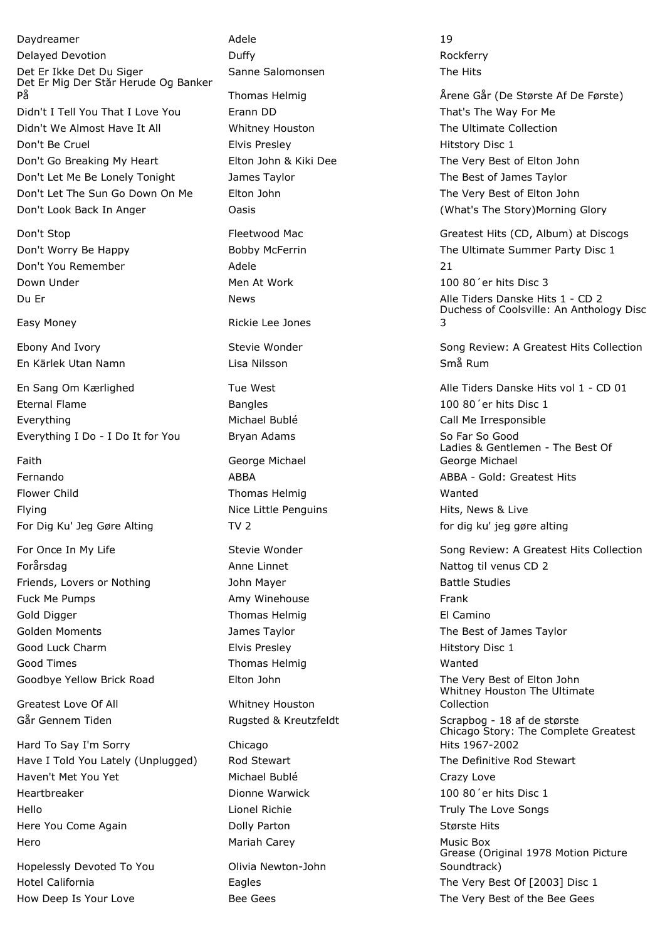Daydreamer **Adele** 19 Delayed Devotion **Rockferry Duffy Contained Bullet Contained Bullet Rockferry Rockferry** Det Er Ikke Det Du Siger Sanne Salomonsen The Hits Det Er Mig Der Står Herude Og Banker På Thomas Helmig Årene Går (De Største Af De Første) Didn't I Tell You That I Love You Frann DD That's The Way For Me Didn't We Almost Have It All **Whitney Houston** The Ultimate Collection Don't Be Cruel **Elvis Presley Filter Contains Containers** Hitstory Disc 1 Don't Go Breaking My Heart Elton John & Kiki Dee The Very Best of Elton John Don't Let Me Be Lonely Tonight James Taylor The Best of James Taylor Don't Let The Sun Go Down On Me Elton John The Very Best of Elton John Don't Look Back In Anger Oasis (What's The Story)Morning Glory

Don't You Remember Adele 21 Down Under The Men At Work 100 80<sup>'</sup> er hits Disc 3

En Kärlek Utan Namn Lisa Nilsson Små Rum

Eternal Flame **Bangles Bangles Bangles Bangles Bangles Bangles Bangles Bangles Bangles Bangles Bangles Bangles Bangles Bangles Bangles Bangles Bangles Bangles Bangles Bangles Bangles** Everything The Call Me Irresponsible Call Me Irresponsible Call Me Irresponsible Everything I Do - I Do It for You Bryan Adams So Far So Good

Faith **Faith** George Michael Flower Child **Thomas Helmig** Wanted Wanted Flying **Nice Little Penguins** Hits, News & Live For Dig Ku' Jeg Gøre Alting TV 2 for dig ku' jeg gøre alting til for dig ku' jeg gøre alting

Forårsdag **Anne Linnet** Anne Linnet Nattog til venus CD 2 Friends, Lovers or Nothing The Studies and John Mayer Theorem and Battle Studies Fuck Me Pumps **Amy Winehouse** Frank Gold Digger **Thomas Helmig** El Camino Golden Moments Taylor Colden Moments Assessment Colden Moments Assessment Dames Taylor Good Luck Charm **Elvis Presley Elvis Presley Hitstory Disc 1** Good Times **Thomas Helmig** Wanted Wanted Goodbye Yellow Brick Road Elton John Elton John The Very Best of Elton John

Greatest Love Of All **Whitney Houston** 

Hard To Say I'm Sorry Chicago Have I Told You Lately (Unplugged) and Stewart The Definitive Rod Stewart The Definitive Rod Stewart Haven't Met You Yet **Michael Bublé** Crazy Love Heartbreaker Dionne Warwick 100 80´er hits Disc 1 Hello Lionel Richie Truly The Love Songs Here You Come Again **Største Hits** Dolly Parton **Største Hits** Største Hits Hero Mariah Carey Music Box

Hopelessly Devoted To You Olivia Newton-John How Deep Is Your Love **Bee Gees** Bee Gees The Very Best of the Bee Gees

Easy Money **Rickie Lee Jones** 

Don't Stop **Fleetwood Mac** Greatest Hits (CD, Album) at Discogs Greatest Hits (CD, Album) at Discogs Don't Worry Be Happy **Bobby McFerrin** The Ultimate Summer Party Disc 1 Du Er News News News Alle Tiders Danske Hits 1 - CD 2 Duchess of Coolsville: An Anthology Disc 3

Ebony And Ivory Stevie Wonder Song Review: A Greatest Hits Collection

En Sang Om Kærlighed Tue West Contract Alle Tiders Danske Hits vol 1 - CD 01 Ladies & Gentlemen - The Best Of George Michael Fernando ABBA ABBA - Gold: Greatest Hits

For Once In My Life Stevie Stevie Wonder Stevie Wonder Song Review: A Greatest Hits Collection Whitney Houston The Ultimate Collection Går Gennem Tiden Tiden Rugsted & Kreutzfeldt Scrapbog - 18 af de største Chicago Story: The Complete Greatest Hits 1967-2002 Grease (Original 1978 Motion Picture Soundtrack) Hotel California Eagles The Very Best Of [2003] Disc 1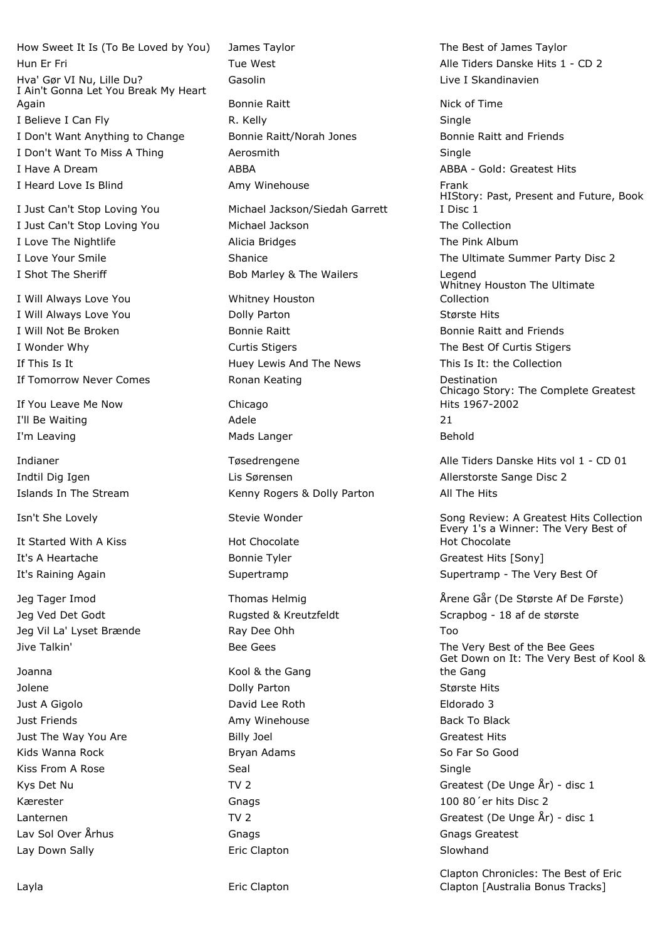How Sweet It Is (To Be Loved by You) James Taylor The Best of James Taylor Hun Er Fri **Tue West** Alle Tiders Danske Hits 1 - CD 2 Hva' Gør VI Nu, Lille Du? Gasolin Gasolin Live I Skandinavien I Ain't Gonna Let You Break My Heart Again **Again** Bonnie Raitt **Nick of Time** Bonnie Raitt **Nick of Time** I Believe I Can Fly Single New York R. Kelly New York Single I Don't Want Anything to Change Bonnie Raitt/Norah Jones Bonnie Raitt and Friends I Don't Want To Miss A Thing **Aerosmith** Aerosmith Agent Single I Have A Dream **ABBA** ABBA ABBA ABBA - Gold: Greatest Hits I Heard Love Is Blind **Amy Winehouse Amy Winehouse Amy Winehouse Amy Winehouse** I Just Can't Stop Loving You Michael Jackson/Siedah Garrett I Just Can't Stop Loving You Michael Jackson The Collection I Love The Nightlife **Alicia Bridges** Alicia Bridges The Pink Album I Love Your Smile **Shanice** Shanice **Shanice** Shanice **The Ultimate Summer Party Disc 2** I Shot The Sheriff **Bob Marley & The Wailers** Legend I Will Always Love You Whitney Houston I Will Always Love You **Dolly Parton** Største Hits Største Hits I Will Not Be Broken **Bonnie Raitt Bonnie Raitt** Bonnie Raitt and Friends I Wonder Why **Curtis Stigers** Curtis Stigers The Best Of Curtis Stigers If This Is It **If This Is It It Is It It Is It It It Is It** It is It: the Collection If Tomorrow Never Comes **Ronan Keating Communist Contract Communist** Destination If You Leave Me Now Chicago I'll Be Waiting **Adele** 21 I'm Leaving and the Mads Langer and the Mads Langer and the Behold Indtil Dig Igen Lis Sørensen Allerstorste Sange Disc 2 Islands In The Stream Kenny Rogers & Dolly Parton All The Hits It Started With A Kiss Hot Chocolate It's A Heartache The Bonnie Tyler Greatest Hits [Sony] It's Raining Again Supertramp Supertramp - The Very Best Of Jeg Ved Det Godt Franklike Bugsted & Kreutzfeldt Scrapbog - 18 af de største Jeg Vil La' Lyset Brænde Too Ray Dee Ohh Too Ray New York Ray Dee Ohh Too Ray Dee Ohh Too Ray New York Ray Dee Ohh Jive Talkin' The Very Best of the Bee Gees The Very Best of the Bee Gees Joanna **Kool & the Gang** Jolene Dolly Parton Største Hits Just A Gigolo David Lee Roth Eldorado 3 Just Friends **Amy Winehouse** Back To Black To Black To Black To Black To Black Just The Way You Are **Billy Joel** Greatest Hits Kids Wanna Rock **So Far So Far So Far So Good** Bryan Adams So Far So Good Kiss From A Rose Seal Single Seal Single Single Kys Det Nu Greatest (De Unge År) - disc 1 Kærester Gnags 100 80´er hits Disc 2

Lav Sol Over Århus Gnags Gnags Greatest Lay Down Sally **Eric Clapton** Slowhand Slowhand

HIStory: Past, Present and Future, Book I Disc 1 Whitney Houston The Ultimate Collection Chicago Story: The Complete Greatest Hits 1967-2002 Indianer Tøsedrengene Tøsedrengene Alle Tiders Danske Hits vol 1 - CD 01 Isn't She Lovely **Stevie Wonder** Stevie Wonder Song Review: A Greatest Hits Collection Every 1's a Winner: The Very Best of Hot Chocolate Jeg Tager Imod Thomas Helmig Årene Går (De Største Af De Første) Get Down on It: The Very Best of Kool & the Gang Lanternen TV 2 Greatest (De Unge År) - disc 1 Clapton Chronicles: The Best of Eric

Clapton [Australia Bonus Tracks]

Layla **Example 2018** Eric Clapton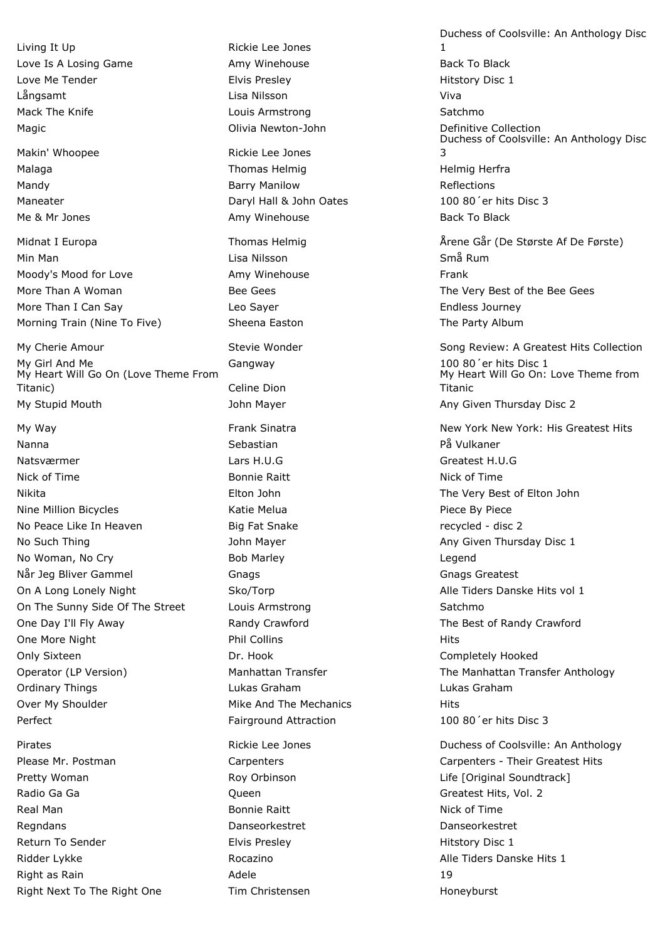Living It Up **Rickie Lee Jones** Love Is A Losing Game **Amy Winehouse** Amy Winehouse **Back To Black** To Black Love Me Tender **Elvis Presley Elvis Presley Elvis Presley Hitstory Disc 1** Långsamt Lisa Nilsson Viva Mack The Knife **Louis Armstrong** Communication Communication Control of the Satchmo Magic Olivia Newton-John Definitive Collection

Min Man Lisa Nilsson Små Rum Moody's Mood for Love **Amy Winehouse** Frank More Than I Can Say **Leo Sayer** Leo Sayer **Endless Journey** Morning Train (Nine To Five) **Sheena Easton** The Party Album

My Girl And Me Gangway Gangway 100 80'er hits Disc 1 My Heart Will Go On (Love Theme From Titanic) **Celine Dion** My Stupid Mouth Mayer Any Given Thursday Disc 2

Nanna Sebastian Sebastian På Vulkaner Natsværmer Lars H.U.G Greatest H.U.G Nick of Time **South Accord Connie Raitt** Nick of Time **Nick of Time** Accord Nick of Time Nikita Elton John The Very Best of Elton John Nine Million Bicycles **Nine Action** Katie Melua **Piece By Piece By Piece By Piece** No Peace Like In Heaven **Big Fat Snake** recycled - disc 2 No Such Thing **No Such Thursday Disc 1** John Mayer **Any Given Thursday Disc 1** No Woman, No Cry **Bob Marley Learn** Bob Marley **No Woman, No Cry** Når Jeg Bliver Gammel Gnags Gnags Greatest On A Long Lonely Night Sko/Torp Alle Tiders Danske Hits vol 1 On The Sunny Side Of The Street Louis Armstrong Satchmond Catchmond Satchmond Satchmond Satchmond Satchmond Satchmond Satchmond Satchmond Satchmond Satchmond Satchmond Satchmond Satchmond Satchmond Satchmond Satchmond Satc One Day I'll Fly Away Randy Crawford The Best of Randy Crawford One More Night **Phil Collins Phil Collins Phil Collins Hits** Only Sixteen Dr. Hook Completely Hooked Ordinary Things Lukas Graham Lukas Graham Over My Shoulder The Mike And The Mechanics The Mike And The Mechanics Perfect **Fairground Attraction** 100 80<sup>'</sup>er hits Disc 3

Radio Ga Ga Canter Communication Communication Communication Communication Communication Communication Communication Communication Communication Communication Communication Communication Communication Communication Communi Real Man Bonnie Raitt Nick of Time Regndans Danseorkestret Danseorkestret Return To Sender **Elvis Presley Elvis Presley Elvis Presley Hitstory Disc 1** Ridder Lykke **Rocazino** Rocazino **Alle Tiders Danske Hits 1** Right as Rain and the Communication of the Adele 19 and 19 and 19 and 19 and 19 and 19 and 19 and 19 and 19 and 19 and 19 and 19 and 19 and 19 and 19 and 19 and 19 and 19 and 19 and 19 and 19 and 19 and 19 and 19 and 19 an Right Next To The Right One Tim Christensen The Test of Honeyburst

Makin' Whoopee **Rickie Lee Jones** Malaga **Thomas Helmig Helmig Helmig Helmig Herfra** Mandy **Barry Manilow** Barry Manilow **Reflections** Maneater Daryl Hall & John Oates 100 80´er hits Disc 3 Me & Mr Jones **Amy Winehouse** Back To Black To Black To Black To Black To Black

Duchess of Coolsville: An Anthology Disc 1 Duchess of Coolsville: An Anthology Disc 3 Midnat I Europa Thomas Helmig Thomas Helmig Arene Går (De Største Af De Første) More Than A Woman The Very Bee Gees The Very Best of the Bee Gees The Very Best of the Bee Gees My Cherie Amour **Stevie Wonder** Stevie Wonder Song Review: A Greatest Hits Collection My Heart Will Go On: Love Theme from Titanic My Way **New York: His Greatest Hits** Frank Sinatra New York New York: His Greatest Hits Operator (LP Version) The Manhattan Transfer The Manhattan Transfer Anthology Pirates Rickie Lee Jones Duchess of Coolsville: An Anthology Please Mr. Postman Carpenters Carpenters - Their Greatest Hits Pretty Woman **Roy Orbinson** Roy Orbinson **Life [Original Soundtrack**]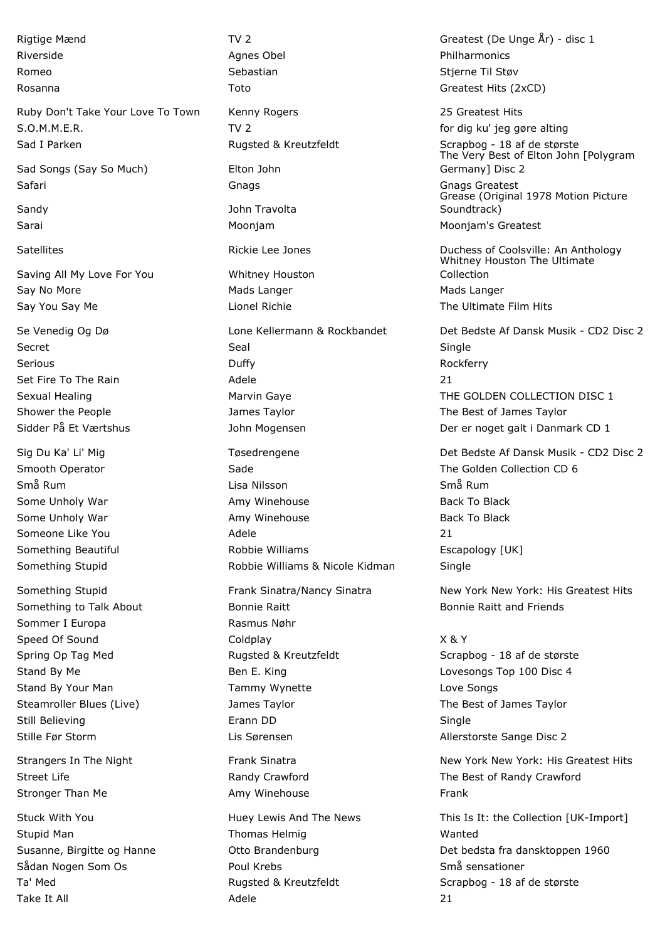Ruby Don't Take Your Love To Town Kenny Rogers 25 Greatest Hits S.O.M.M.E.R. **TV 2 TV 2 for dig ku' jeg gøre alting** Sad I Parken Rugsted & Kreutzfeldt Scrapbog - 18 af de største

Sad Songs (Say So Much) Elton John

Saving All My Love For You Whitney Houston

Sommer I Europa Rasmus Nøhr

Take It All Adele 21

Riverside **Agnes Obel Agnes Obel Philharmonics Philharmonics Philharmonics** Romeo Sebastian Sebastian Sebastian Stjerne Til Støv Rosanna Toto Greatest Hits (2xCD) Safari Gnags Gnags Greatest Sandy **Sandy Communist Communist Sandy** John Travolta Sarai **Moong Moonjam** Moonjam Moonjam Moonjam Moonjam's Greatest Say No More **Mads Langer** Mads Langer **Mads** Langer Mads Langer Say You Say Me **Lionel Richie** The Ultimate Film Hits Containers and The Ultimate Film Hits Secret Seal Single Seal Single Serious Rockferry Rockferry Duffy Rockferry Rockferry Rockferry Set Fire To The Rain and the Contract Adele 21 and 21 Shower the People Taylor Channes Taylor The Best of James Taylor Smooth Operator **Sade Server Sade Server Server Server School** The Golden Collection CD 6 Små Rum 1988 och statta Universitet i Lisa Nilsson Små Rum 1988 och Små Rum 1988 och Små Rum Some Unholy War **Amy Winehouse** Back To Black To Black To Black To Black To Black Some Unholy War **Amy Winehouse** Back To Black To Black To Black To Black To Black Someone Like You and a controller and Adele 21 and 21 and 21 and 21 and 21 and 21 and 21 and 21 and 21 and 21 and 21 and 21 and 21 and 21 and 21 and 21 and 21 and 21 and 22 and 22 and 22 and 22 and 22 and 22 and 22 and 22 Something Beautiful **Example 20** Robbie Williams **Example 20** Escapology [UK] Something Stupid **Supplem Communisher Stupid Robbie Williams & Nicole Kidman** Single Something to Talk About **Bonnie Raitt** Bonnie Raitt Bonnie Raitt and Friends Speed Of Sound and Coldplay Coldplay Cold Control of Sound X & Y Spring Op Tag Med **Rugsted & Kreutzfeldt** Scrapbog - 18 af de største Stand By Me **Ben E. King Community** Ben E. King Lovesongs Top 100 Disc 4 Stand By Your Man Tammy Wynette Tammy Wynette Love Songs Steamroller Blues (Live) The Best of James Taylor The Best of James Taylor Still Believing The Communication of the Erann DD Single Single Stille Før Storm The Lis Sørensen Allerstorste Sange Disc 2 Street Life **Randy Crawford** Randy Crawford **The Best of Randy Crawford** Street Life Stronger Than Me **Amy Winehouse** Frank Stupid Man North Communist Communist Communist Communist Communist Communist Communist Communist Communist Communist Communist Communist Communist Communist Communist Communist Communist Communist Communist Communist Commu Sådan Nogen Som Os **Somme Somme Somme Somme Somme Somme Somme Somme Somme Somme Somme Somme Somme Somme Somme S** 

Rigtige Mænd TV 2 Greatest (De Unge År) - disc 1

The Very Best of Elton John [Polygram Germany] Disc 2

Grease (Original 1978 Motion Picture Soundtrack)

Satellites **Rickie Lee Jones Manual Antiocenties** Duchess of Coolsville: An Anthology Whitney Houston The Ultimate Collection

Se Venedig Og Dø Lone Kellermann & Rockbandet Det Bedste Af Dansk Musik - CD2 Disc 2 Sexual Healing The Marvin Gaye The GOLDEN COLLECTION DISC 1 Sidder På Et Værtshus **Der et anslag var det av Sidder På Et Værtshus** Der er noget galt i Danmark CD 1

Sig Du Ka' Li' Mig Tøsedrengene Det Bedste Af Dansk Musik - CD2 Disc 2

Something Stupid **Frank Sinatra/Nancy Sinatra** New York New York: His Greatest Hits Greatest Hits

Strangers In The Night **New York In The Night Communist Club** Frank Sinatra New York New York: His Greatest Hits

Stuck With You **Superset And The News** This Is It: the Collection [UK-Import] Susanne, Birgitte og Hanne Otto Brandenburg Det bedsta fra dansktoppen 1960 Ta' Med **Rugsted & Kreutzfeldt** Scrapbog - 18 af de største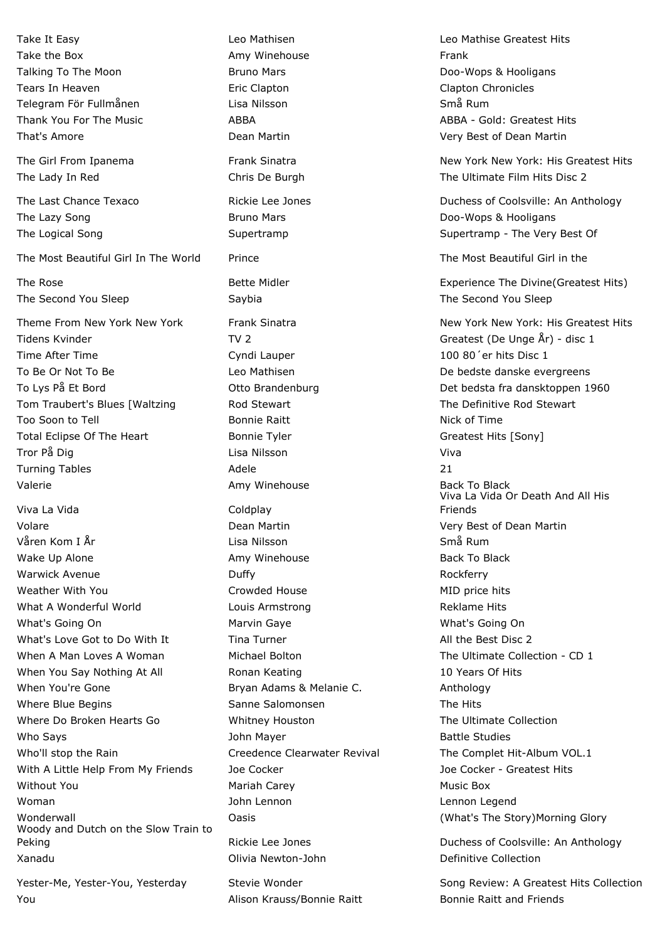The Most Beautiful Girl In The World Prince The Most Beautiful Girl in the The Most Beautiful Girl in the

Tidens Kvinder TV 2 TV 2 Greatest (De Unge År) - disc 1 Time After Time **Cyndi Lauper** 100 80<sup>'</sup>er hits Disc 1 To Be Or Not To Be **Leo Mathisen** De De bedste danske evergreens Tom Traubert's Blues [Waltzing Tod Stewart The Definitive Rod Stewart The Definitive Rod Stewart Too Soon to Tell **Soon is a Soon Community** Bonnie Raitt **Nick of Time** Nick of Time Total Eclipse Of The Heart **Bonnie Tyler** Greatest Hits [Sony] Tror På Dig Nilsson vid Lisa Nilsson vid Viva vid Viva vid Viva vid Viva vid Viva vid Viva vid Viva vid Viva v Turning Tables **Adele** 21 and 21 and 22 and 22 and 22 and 22 and 22 and 22 and 22 and 22 and 22 and 22 and 22 and 22 and 22 and 22 and 22 and 22 and 22 and 22 and 22 and 22 and 22 and 22 and 22 and 22 and 22 and 22 and 22 Valerie **Amy Winehouse Back To Black To Black** To Black To Black To Black To Black

Viva La Vida **Coldplay** Volare Dean Martin Very Best of Dean Martin Våren Kom I År Lisa Nilsson Nilsson Små Rum Wake Up Alone **Amy Winehouse** Back To Black To Black To Black To Black To Black Warwick Avenue **Rockferry COVID-10** Duffy **Rockferry Rockferry** Weather With You **Michael Account Crowded House** MID price hits MID price hits What A Wonderful World **Research Louis Armstrong** Communication Reklame Hits What's Going On **Marvin Gaye** Marvin Gaye **Maryo What's Going On** What's Going On What's Love Got to Do With It Tina Turner All the Best Disc 2 When A Man Loves A Woman Michael Bolton The Ultimate Collection - CD 1 When You Say Nothing At All **Ronan Keating 10 Years Of Hits** 10 Years Of Hits When You're Gone The Bryan Adams & Melanie C. Anthology Where Blue Begins The Hits Sanne Salomonsen The Hits Where Do Broken Hearts Go **Whitney Houston** The Ultimate Collection Who Says **State Studies** John Mayer **Battle Studies** Battle Studies Who'll stop the Rain The Complet Hit-Album VOL.1 With A Little Help From My Friends Joe Cocker **Joe Cocker Joe Cocker - Greatest Hits** Without You Mariah Carey Music Box Woman John Lennon Lennon Legend Wonderwall **National Construction Casts** Casts Construction (What's The Story)Morning Glory Woody and Dutch on the Slow Train to Peking The Rickie Lee Jones Coolsville: An Anthology Peking Xanadu Olivia Newton-John Definitive Collection

You Alison Krauss/Bonnie Raitt Bonnie Raitt and Friends

Take the Box **Amy Winehouse** Frank Talking To The Moon **Example 2** Bruno Mars **Bruno Mars Bruno Mars** Doo-Wops & Hooligans Tears In Heaven The Clapton Clapton Clapton Clapton Chronicles Telegram För Fullmånen Lisa Nilsson Små Rum That's Amore Dean Martin Very Best of Dean Martin The Lazy Song The Lazy Song Control of Bruno Mars Control of the Lazy Song Control of Bruno Mars Control of the Lazy Song Control of Bruno Mars Control of the Lazy Song Control of the Lazy Song Control of Bruno Mars Contro The Second You Sleep Saybia Saybia The Second You Sleep

Take It Easy Leo Mathisen Leo Mathise Greatest Hits Thank You For The Music **ABBA** ABBA ABBA ABBA - Gold: Greatest Hits

The Girl From Ipanema The Girl Frank Sinatra New York New York: His Greatest Hits The Lady In Red The Lady In Red Chris De Burgh The Ultimate Film Hits Disc 2

The Last Chance Texaco **Rickie Lee Jones Coolsville: An Anthology** Duchess of Coolsville: An Anthology The Logical Song The Unit of Supertramp Supertramp Supertramp - The Very Best Of

The Rose The Rose Experience The Divine (Greatest Hits) Bette Midler Experience The Divine (Greatest Hits)

Theme From New York New York **Frank Sinatra** New York New York: His Greatest Hits Greatest Hits To Lys På Et Bord Otto Brandenburg Det bedsta fra dansktoppen 1960 Viva La Vida Or Death And All His Friends

Yester-Me, Yester-You, Yesterday Stevie Wonder Song Review: A Greatest Hits Collection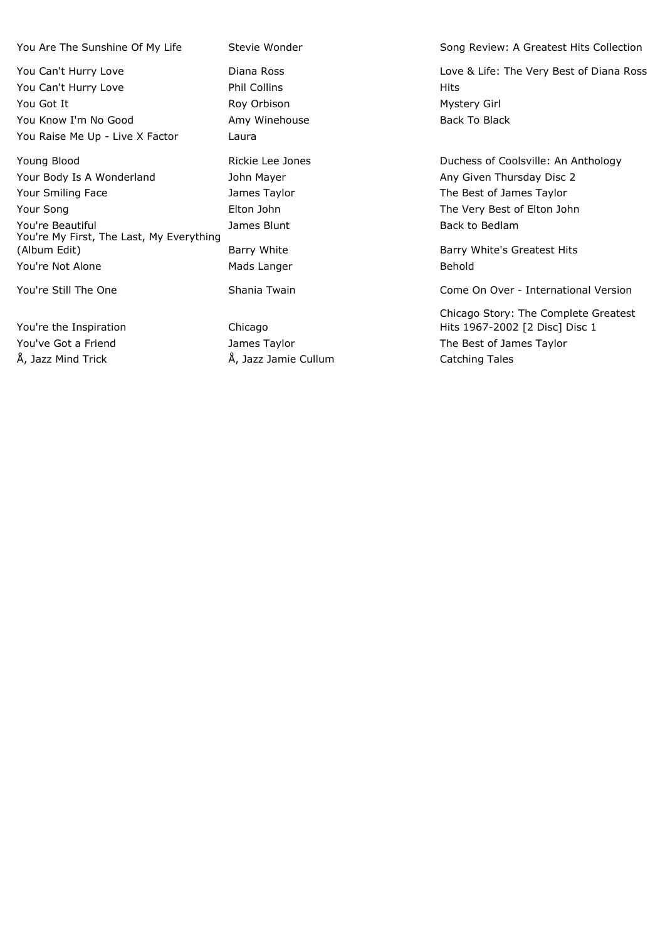You Can't Hurry Love **Phil Collins Phil Collins Hits** You Got It **All Accords** Roy Orbison **Mystery Girl** Mystery Girl You Know I'm No Good **Amy Winehouse** Amy Winehouse Back To Black You Raise Me Up - Live X Factor Laura

Your Body Is A Wonderland Thursday Disc 2 Your Smiling Face Taylor Mannes Taylor The Best of James Taylor Your Song The Very Best of Elton John The Very Best of Elton John The Very Best of Elton John You're Beautiful **Souting the Contract Contract Contract Contract Contract Contract Contract Contract Contract Contract Contract Contract Contract Contract Contract Contract James Blunt Contract Contract Contract Contract** You're My First, The Last, My Everything (Album Edit) **Barry White** Barry White Barry Hits Barry White's Greatest Hits You're Not Alone **Mads Langer** Mads Langer **Behold** 

You're the Inspiration Chicago Å, Jazz Mind Trick Å, Jazz Jamie Cullum Catching Tales

You Are The Sunshine Of My Life Stevie Wonder Song Review: A Greatest Hits Collection

You Can't Hurry Love **Love Communist Contains Container** Diana Ross Love & Life: The Very Best of Diana Ross

Young Blood **Rickie Lee Jones Rickie Lee Jones Duchess of Coolsville: An Anthology** 

You're Still The One Shania Twain Come Shania Twain Come On Over - International Version

Chicago Story: The Complete Greatest Hits 1967-2002 [2 Disc] Disc 1 You've Got a Friend Taylor Contact Manusia James Taylor The Best of James Taylor